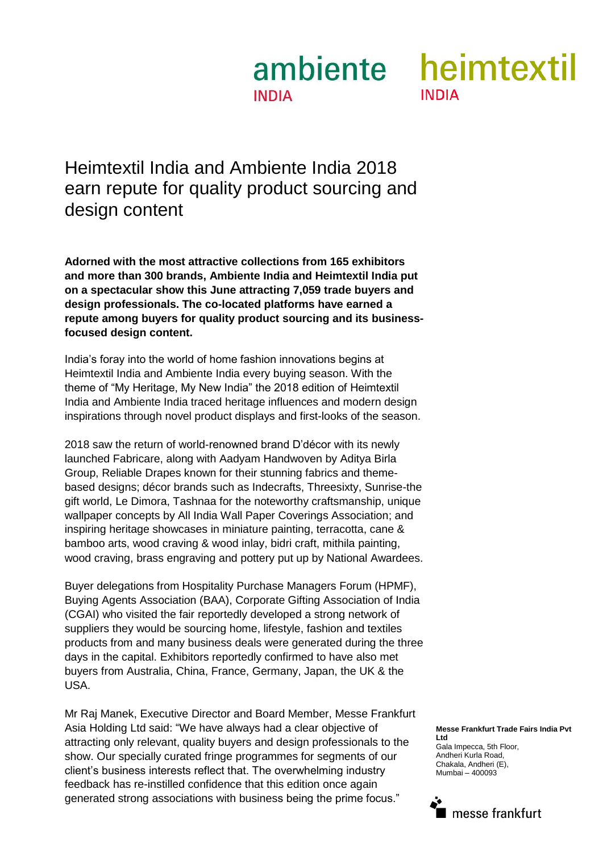# **INDIA**



Heimtextil India and Ambiente India 2018 earn repute for quality product sourcing and design content

**Adorned with the most attractive collections from 165 exhibitors and more than 300 brands, Ambiente India and Heimtextil India put on a spectacular show this June attracting 7,059 trade buyers and design professionals. The co-located platforms have earned a repute among buyers for quality product sourcing and its businessfocused design content.** 

India's foray into the world of home fashion innovations begins at Heimtextil India and Ambiente India every buying season. With the theme of "My Heritage, My New India" the 2018 edition of Heimtextil India and Ambiente India traced heritage influences and modern design inspirations through novel product displays and first-looks of the season.

2018 saw the return of world-renowned brand D'décor with its newly launched Fabricare, along with Aadyam Handwoven by Aditya Birla Group, Reliable Drapes known for their stunning fabrics and themebased designs; décor brands such as Indecrafts, Threesixty, Sunrise-the gift world, Le Dimora, Tashnaa for the noteworthy craftsmanship, unique wallpaper concepts by All India Wall Paper Coverings Association; and inspiring heritage showcases in miniature painting, terracotta, cane & bamboo arts, wood craving & wood inlay, bidri craft, mithila painting, wood craving, brass engraving and pottery put up by National Awardees.

Buyer delegations from Hospitality Purchase Managers Forum (HPMF), Buying Agents Association (BAA), Corporate Gifting Association of India (CGAI) who visited the fair reportedly developed a strong network of suppliers they would be sourcing home, lifestyle, fashion and textiles products from and many business deals were generated during the three days in the capital. Exhibitors reportedly confirmed to have also met buyers from Australia, China, France, Germany, Japan, the UK & the USA.

Mr Raj Manek, Executive Director and Board Member, Messe Frankfurt Asia Holding Ltd said: "We have always had a clear objective of attracting only relevant, quality buyers and design professionals to the show. Our specially curated fringe programmes for segments of our client's business interests reflect that. The overwhelming industry feedback has re-instilled confidence that this edition once again generated strong associations with business being the prime focus."

#### **Messe Frankfurt Trade Fairs India Pvt Ltd**

Gala Impecca, 5th Floor, Andheri Kurla Road, Chakala, Andheri (E), Mumbai – 400093

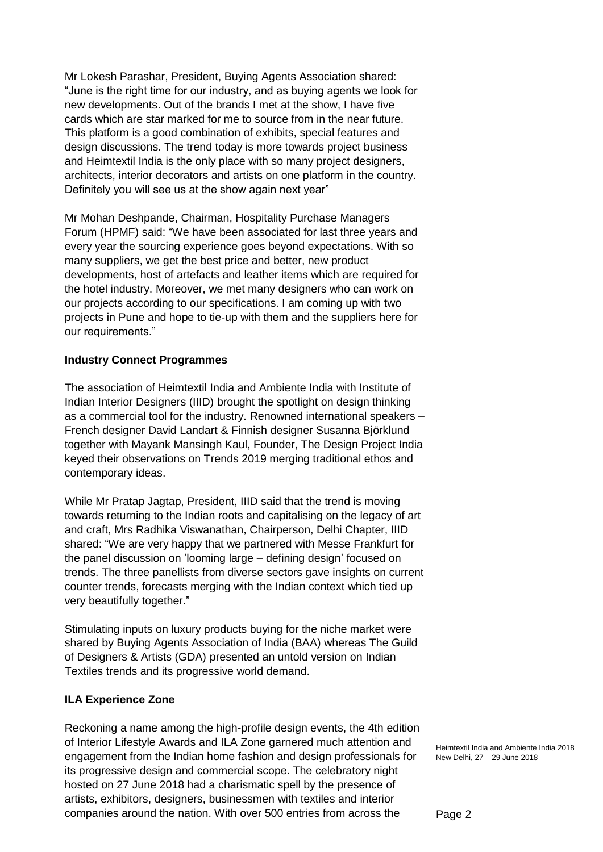Mr Lokesh Parashar, President, Buying Agents Association shared: "June is the right time for our industry, and as buying agents we look for new developments. Out of the brands I met at the show, I have five cards which are star marked for me to source from in the near future. This platform is a good combination of exhibits, special features and design discussions. The trend today is more towards project business and Heimtextil India is the only place with so many project designers, architects, interior decorators and artists on one platform in the country. Definitely you will see us at the show again next year"

Mr Mohan Deshpande, Chairman, Hospitality Purchase Managers Forum (HPMF) said: "We have been associated for last three years and every year the sourcing experience goes beyond expectations. With so many suppliers, we get the best price and better, new product developments, host of artefacts and leather items which are required for the hotel industry. Moreover, we met many designers who can work on our projects according to our specifications. I am coming up with two projects in Pune and hope to tie-up with them and the suppliers here for our requirements."

#### **Industry Connect Programmes**

The association of Heimtextil India and Ambiente India with Institute of Indian Interior Designers (IIID) brought the spotlight on design thinking as a commercial tool for the industry. Renowned international speakers – French designer David Landart & Finnish designer Susanna Björklund together with Mayank Mansingh Kaul, Founder, The Design Project India keyed their observations on Trends 2019 merging traditional ethos and contemporary ideas.

While Mr Pratap Jagtap, President, IIID said that the trend is moving towards returning to the Indian roots and capitalising on the legacy of art and craft, Mrs Radhika Viswanathan, Chairperson, Delhi Chapter, IIID shared: "We are very happy that we partnered with Messe Frankfurt for the panel discussion on 'looming large – defining design' focused on trends. The three panellists from diverse sectors gave insights on current counter trends, forecasts merging with the Indian context which tied up very beautifully together."

Stimulating inputs on luxury products buying for the niche market were shared by Buying Agents Association of India (BAA) whereas The Guild of Designers & Artists (GDA) presented an untold version on Indian Textiles trends and its progressive world demand.

#### **ILA Experience Zone**

Reckoning a name among the high-profile design events, the 4th edition of Interior Lifestyle Awards and ILA Zone garnered much attention and engagement from the Indian home fashion and design professionals for its progressive design and commercial scope. The celebratory night hosted on 27 June 2018 had a charismatic spell by the presence of artists, exhibitors, designers, businessmen with textiles and interior companies around the nation. With over 500 entries from across the

Heimtextil India and Ambiente India 2018 New Delhi, 27 – 29 June 2018